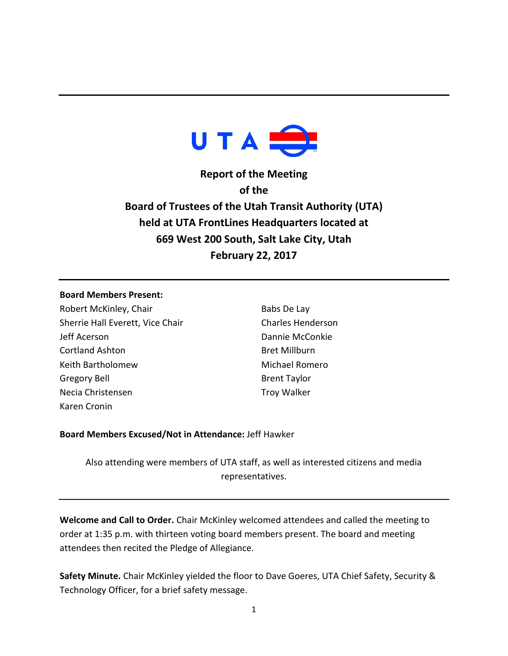

**Report of the Meeting of the Board of Trustees of the Utah Transit Authority (UTA) held at UTA FrontLines Headquarters located at 669 West 200 South, Salt Lake City, Utah February 22, 2017**

#### **Board Members Present:**

Robert McKinley, Chair Sherrie Hall Everett, Vice Chair Jeff Acerson Cortland Ashton Keith Bartholomew Gregory Bell Necia Christensen Karen Cronin

Babs De Lay Charles Henderson Dannie McConkie Bret Millburn Michael Romero Brent Taylor Troy Walker

# **Board Members Excused/Not in Attendance:** Jeff Hawker

Also attending were members of UTA staff, as well as interested citizens and media representatives.

**Welcome and Call to Order.** Chair McKinley welcomed attendees and called the meeting to order at 1:35 p.m. with thirteen voting board members present. The board and meeting attendees then recited the Pledge of Allegiance.

**Safety Minute.** Chair McKinley yielded the floor to Dave Goeres, UTA Chief Safety, Security & Technology Officer, for a brief safety message.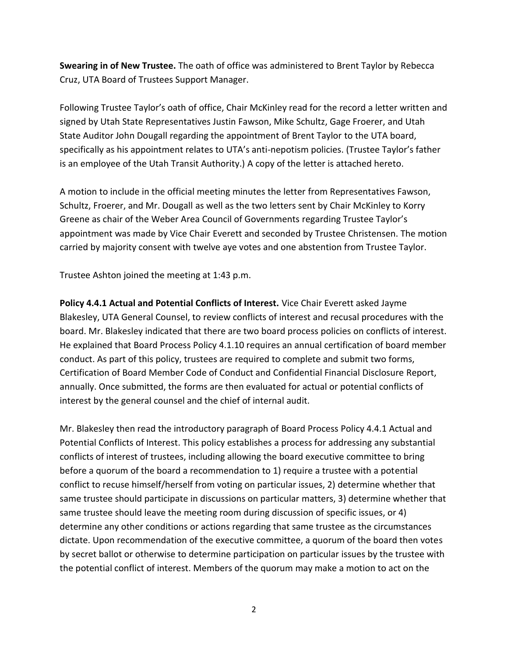**Swearing in of New Trustee.** The oath of office was administered to Brent Taylor by Rebecca Cruz, UTA Board of Trustees Support Manager.

Following Trustee Taylor's oath of office, Chair McKinley read for the record a letter written and signed by Utah State Representatives Justin Fawson, Mike Schultz, Gage Froerer, and Utah State Auditor John Dougall regarding the appointment of Brent Taylor to the UTA board, specifically as his appointment relates to UTA's anti-nepotism policies. (Trustee Taylor's father is an employee of the Utah Transit Authority.) A copy of the letter is attached hereto.

A motion to include in the official meeting minutes the letter from Representatives Fawson, Schultz, Froerer, and Mr. Dougall as well as the two letters sent by Chair McKinley to Korry Greene as chair of the Weber Area Council of Governments regarding Trustee Taylor's appointment was made by Vice Chair Everett and seconded by Trustee Christensen. The motion carried by majority consent with twelve aye votes and one abstention from Trustee Taylor.

Trustee Ashton joined the meeting at 1:43 p.m.

**Policy 4.4.1 Actual and Potential Conflicts of Interest.** Vice Chair Everett asked Jayme Blakesley, UTA General Counsel, to review conflicts of interest and recusal procedures with the board. Mr. Blakesley indicated that there are two board process policies on conflicts of interest. He explained that Board Process Policy 4.1.10 requires an annual certification of board member conduct. As part of this policy, trustees are required to complete and submit two forms, Certification of Board Member Code of Conduct and Confidential Financial Disclosure Report, annually. Once submitted, the forms are then evaluated for actual or potential conflicts of interest by the general counsel and the chief of internal audit.

Mr. Blakesley then read the introductory paragraph of Board Process Policy 4.4.1 Actual and Potential Conflicts of Interest. This policy establishes a process for addressing any substantial conflicts of interest of trustees, including allowing the board executive committee to bring before a quorum of the board a recommendation to 1) require a trustee with a potential conflict to recuse himself/herself from voting on particular issues, 2) determine whether that same trustee should participate in discussions on particular matters, 3) determine whether that same trustee should leave the meeting room during discussion of specific issues, or 4) determine any other conditions or actions regarding that same trustee as the circumstances dictate. Upon recommendation of the executive committee, a quorum of the board then votes by secret ballot or otherwise to determine participation on particular issues by the trustee with the potential conflict of interest. Members of the quorum may make a motion to act on the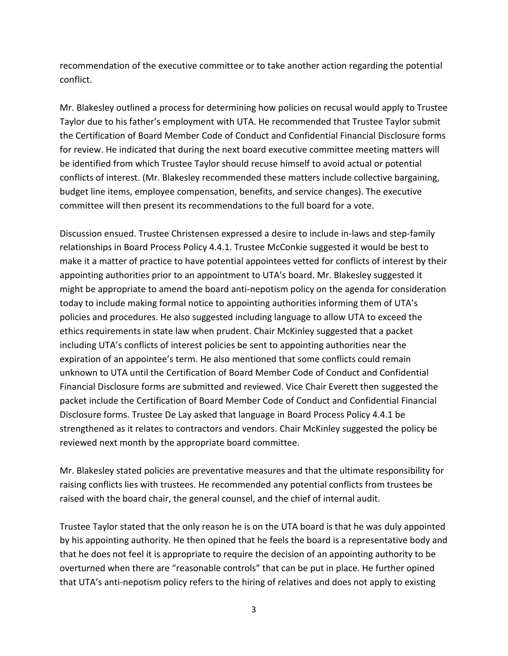recommendation of the executive committee or to take another action regarding the potential conflict.

Mr. Blakesley outlined a process for determining how policies on recusal would apply to Trustee Taylor due to his father's employment with UTA. He recommended that Trustee Taylor submit the Certification of Board Member Code of Conduct and Confidential Financial Disclosure forms for review. He indicated that during the next board executive committee meeting matters will be identified from which Trustee Taylor should recuse himself to avoid actual or potential conflicts of interest. (Mr. Blakesley recommended these matters include collective bargaining, budget line items, employee compensation, benefits, and service changes). The executive committee will then present its recommendations to the full board for a vote.

Discussion ensued. Trustee Christensen expressed a desire to include in-laws and step-family relationships in Board Process Policy 4.4.1. Trustee McConkie suggested it would be best to make it a matter of practice to have potential appointees vetted for conflicts of interest by their appointing authorities prior to an appointment to UTA's board. Mr. Blakesley suggested it might be appropriate to amend the board anti-nepotism policy on the agenda for consideration today to include making formal notice to appointing authorities informing them of UTA's policies and procedures. He also suggested including language to allow UTA to exceed the ethics requirements in state law when prudent. Chair McKinley suggested that a packet including UTA's conflicts of interest policies be sent to appointing authorities near the expiration of an appointee's term. He also mentioned that some conflicts could remain unknown to UTA until the Certification of Board Member Code of Conduct and Confidential Financial Disclosure forms are submitted and reviewed. Vice Chair Everett then suggested the packet include the Certification of Board Member Code of Conduct and Confidential Financial Disclosure forms. Trustee De Lay asked that language in Board Process Policy 4.4.1 be strengthened as it relates to contractors and vendors. Chair McKinley suggested the policy be reviewed next month by the appropriate board committee.

Mr. Blakesley stated policies are preventative measures and that the ultimate responsibility for raising conflicts lies with trustees. He recommended any potential conflicts from trustees be raised with the board chair, the general counsel, and the chief of internal audit.

Trustee Taylor stated that the only reason he is on the UTA board is that he was duly appointed by his appointing authority. He then opined that he feels the board is a representative body and that he does not feel it is appropriate to require the decision of an appointing authority to be overturned when there are "reasonable controls" that can be put in place. He further opined that UTA's anti-nepotism policy refers to the hiring of relatives and does not apply to existing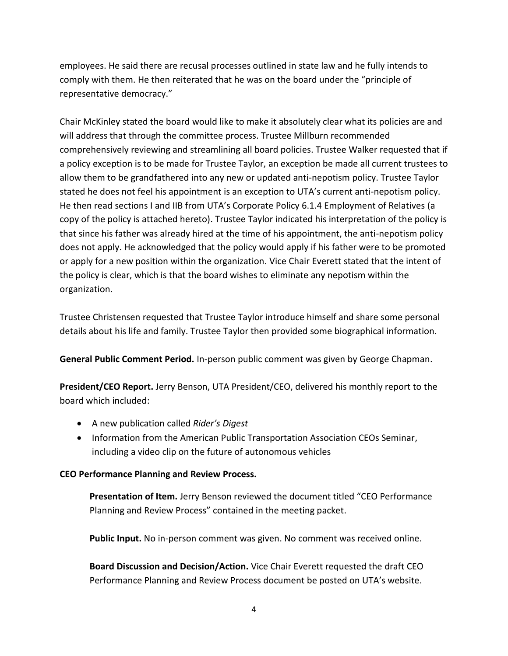employees. He said there are recusal processes outlined in state law and he fully intends to comply with them. He then reiterated that he was on the board under the "principle of representative democracy."

Chair McKinley stated the board would like to make it absolutely clear what its policies are and will address that through the committee process. Trustee Millburn recommended comprehensively reviewing and streamlining all board policies. Trustee Walker requested that if a policy exception is to be made for Trustee Taylor, an exception be made all current trustees to allow them to be grandfathered into any new or updated anti-nepotism policy. Trustee Taylor stated he does not feel his appointment is an exception to UTA's current anti-nepotism policy. He then read sections I and IIB from UTA's Corporate Policy 6.1.4 Employment of Relatives (a copy of the policy is attached hereto). Trustee Taylor indicated his interpretation of the policy is that since his father was already hired at the time of his appointment, the anti-nepotism policy does not apply. He acknowledged that the policy would apply if his father were to be promoted or apply for a new position within the organization. Vice Chair Everett stated that the intent of the policy is clear, which is that the board wishes to eliminate any nepotism within the organization.

Trustee Christensen requested that Trustee Taylor introduce himself and share some personal details about his life and family. Trustee Taylor then provided some biographical information.

**General Public Comment Period.** In-person public comment was given by George Chapman.

**President/CEO Report.** Jerry Benson, UTA President/CEO, delivered his monthly report to the board which included:

- A new publication called *Rider's Digest*
- Information from the American Public Transportation Association CEOs Seminar, including a video clip on the future of autonomous vehicles

# **CEO Performance Planning and Review Process.**

**Presentation of Item.** Jerry Benson reviewed the document titled "CEO Performance Planning and Review Process" contained in the meeting packet.

**Public Input.** No in-person comment was given. No comment was received online.

**Board Discussion and Decision/Action.** Vice Chair Everett requested the draft CEO Performance Planning and Review Process document be posted on UTA's website.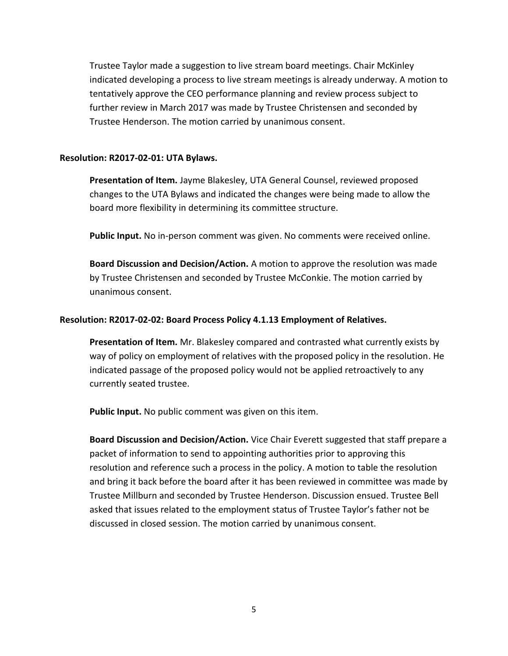Trustee Taylor made a suggestion to live stream board meetings. Chair McKinley indicated developing a process to live stream meetings is already underway. A motion to tentatively approve the CEO performance planning and review process subject to further review in March 2017 was made by Trustee Christensen and seconded by Trustee Henderson. The motion carried by unanimous consent.

#### **Resolution: R2017-02-01: UTA Bylaws.**

**Presentation of Item.** Jayme Blakesley, UTA General Counsel, reviewed proposed changes to the UTA Bylaws and indicated the changes were being made to allow the board more flexibility in determining its committee structure.

**Public Input.** No in-person comment was given. No comments were received online.

**Board Discussion and Decision/Action.** A motion to approve the resolution was made by Trustee Christensen and seconded by Trustee McConkie. The motion carried by unanimous consent.

### **Resolution: R2017-02-02: Board Process Policy 4.1.13 Employment of Relatives.**

**Presentation of Item.** Mr. Blakesley compared and contrasted what currently exists by way of policy on employment of relatives with the proposed policy in the resolution. He indicated passage of the proposed policy would not be applied retroactively to any currently seated trustee.

**Public Input.** No public comment was given on this item.

**Board Discussion and Decision/Action.** Vice Chair Everett suggested that staff prepare a packet of information to send to appointing authorities prior to approving this resolution and reference such a process in the policy. A motion to table the resolution and bring it back before the board after it has been reviewed in committee was made by Trustee Millburn and seconded by Trustee Henderson. Discussion ensued. Trustee Bell asked that issues related to the employment status of Trustee Taylor's father not be discussed in closed session. The motion carried by unanimous consent.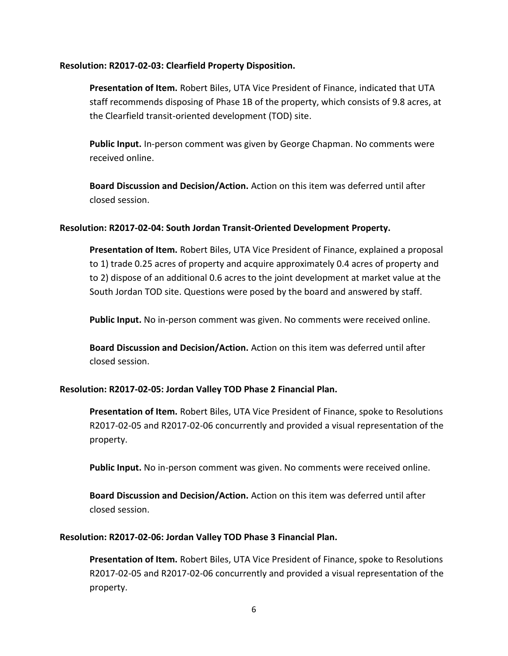#### **Resolution: R2017-02-03: Clearfield Property Disposition.**

**Presentation of Item.** Robert Biles, UTA Vice President of Finance, indicated that UTA staff recommends disposing of Phase 1B of the property, which consists of 9.8 acres, at the Clearfield transit-oriented development (TOD) site.

**Public Input.** In-person comment was given by George Chapman. No comments were received online.

**Board Discussion and Decision/Action.** Action on this item was deferred until after closed session.

# **Resolution: R2017-02-04: South Jordan Transit-Oriented Development Property.**

**Presentation of Item.** Robert Biles, UTA Vice President of Finance, explained a proposal to 1) trade 0.25 acres of property and acquire approximately 0.4 acres of property and to 2) dispose of an additional 0.6 acres to the joint development at market value at the South Jordan TOD site. Questions were posed by the board and answered by staff.

**Public Input.** No in-person comment was given. No comments were received online.

**Board Discussion and Decision/Action.** Action on this item was deferred until after closed session.

### **Resolution: R2017-02-05: Jordan Valley TOD Phase 2 Financial Plan.**

**Presentation of Item.** Robert Biles, UTA Vice President of Finance, spoke to Resolutions R2017-02-05 and R2017-02-06 concurrently and provided a visual representation of the property.

**Public Input.** No in-person comment was given. No comments were received online.

**Board Discussion and Decision/Action.** Action on this item was deferred until after closed session.

# **Resolution: R2017-02-06: Jordan Valley TOD Phase 3 Financial Plan.**

**Presentation of Item.** Robert Biles, UTA Vice President of Finance, spoke to Resolutions R2017-02-05 and R2017-02-06 concurrently and provided a visual representation of the property.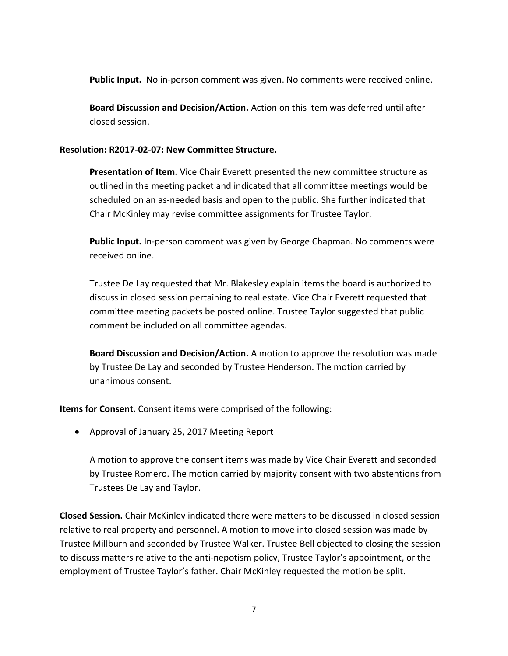**Public Input.** No in-person comment was given. No comments were received online.

**Board Discussion and Decision/Action.** Action on this item was deferred until after closed session.

# **Resolution: R2017-02-07: New Committee Structure.**

**Presentation of Item.** Vice Chair Everett presented the new committee structure as outlined in the meeting packet and indicated that all committee meetings would be scheduled on an as-needed basis and open to the public. She further indicated that Chair McKinley may revise committee assignments for Trustee Taylor.

**Public Input.** In-person comment was given by George Chapman. No comments were received online.

Trustee De Lay requested that Mr. Blakesley explain items the board is authorized to discuss in closed session pertaining to real estate. Vice Chair Everett requested that committee meeting packets be posted online. Trustee Taylor suggested that public comment be included on all committee agendas.

**Board Discussion and Decision/Action.** A motion to approve the resolution was made by Trustee De Lay and seconded by Trustee Henderson. The motion carried by unanimous consent.

**Items for Consent.** Consent items were comprised of the following:

Approval of January 25, 2017 Meeting Report

A motion to approve the consent items was made by Vice Chair Everett and seconded by Trustee Romero. The motion carried by majority consent with two abstentions from Trustees De Lay and Taylor.

**Closed Session.** Chair McKinley indicated there were matters to be discussed in closed session relative to real property and personnel. A motion to move into closed session was made by Trustee Millburn and seconded by Trustee Walker. Trustee Bell objected to closing the session to discuss matters relative to the anti-nepotism policy, Trustee Taylor's appointment, or the employment of Trustee Taylor's father. Chair McKinley requested the motion be split.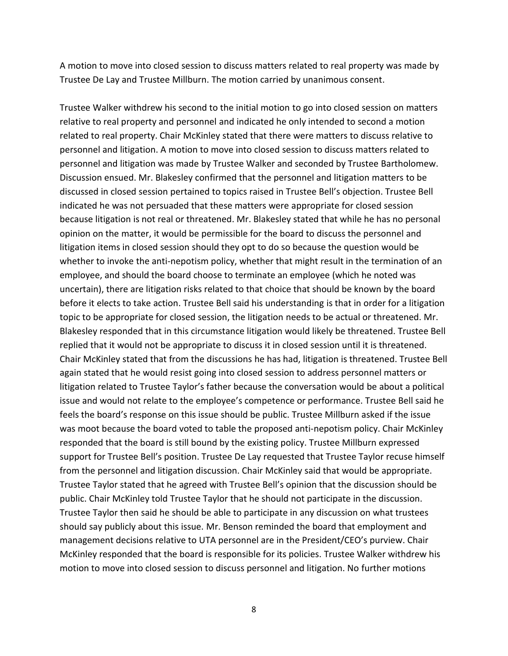A motion to move into closed session to discuss matters related to real property was made by Trustee De Lay and Trustee Millburn. The motion carried by unanimous consent.

Trustee Walker withdrew his second to the initial motion to go into closed session on matters relative to real property and personnel and indicated he only intended to second a motion related to real property. Chair McKinley stated that there were matters to discuss relative to personnel and litigation. A motion to move into closed session to discuss matters related to personnel and litigation was made by Trustee Walker and seconded by Trustee Bartholomew. Discussion ensued. Mr. Blakesley confirmed that the personnel and litigation matters to be discussed in closed session pertained to topics raised in Trustee Bell's objection. Trustee Bell indicated he was not persuaded that these matters were appropriate for closed session because litigation is not real or threatened. Mr. Blakesley stated that while he has no personal opinion on the matter, it would be permissible for the board to discuss the personnel and litigation items in closed session should they opt to do so because the question would be whether to invoke the anti-nepotism policy, whether that might result in the termination of an employee, and should the board choose to terminate an employee (which he noted was uncertain), there are litigation risks related to that choice that should be known by the board before it elects to take action. Trustee Bell said his understanding is that in order for a litigation topic to be appropriate for closed session, the litigation needs to be actual or threatened. Mr. Blakesley responded that in this circumstance litigation would likely be threatened. Trustee Bell replied that it would not be appropriate to discuss it in closed session until it is threatened. Chair McKinley stated that from the discussions he has had, litigation is threatened. Trustee Bell again stated that he would resist going into closed session to address personnel matters or litigation related to Trustee Taylor's father because the conversation would be about a political issue and would not relate to the employee's competence or performance. Trustee Bell said he feels the board's response on this issue should be public. Trustee Millburn asked if the issue was moot because the board voted to table the proposed anti-nepotism policy. Chair McKinley responded that the board is still bound by the existing policy. Trustee Millburn expressed support for Trustee Bell's position. Trustee De Lay requested that Trustee Taylor recuse himself from the personnel and litigation discussion. Chair McKinley said that would be appropriate. Trustee Taylor stated that he agreed with Trustee Bell's opinion that the discussion should be public. Chair McKinley told Trustee Taylor that he should not participate in the discussion. Trustee Taylor then said he should be able to participate in any discussion on what trustees should say publicly about this issue. Mr. Benson reminded the board that employment and management decisions relative to UTA personnel are in the President/CEO's purview. Chair McKinley responded that the board is responsible for its policies. Trustee Walker withdrew his motion to move into closed session to discuss personnel and litigation. No further motions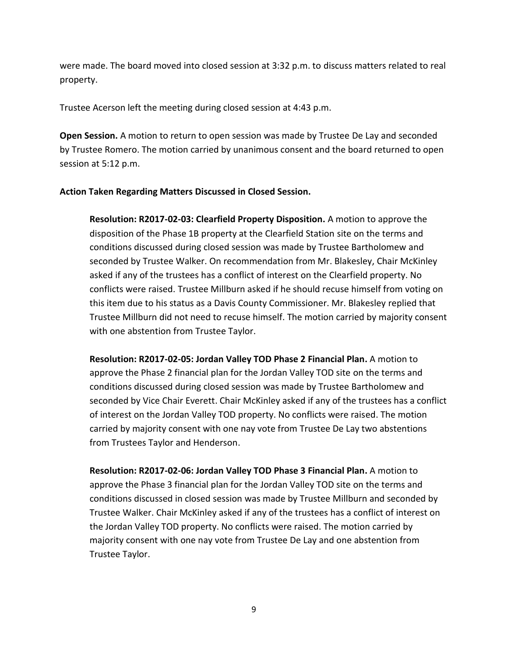were made. The board moved into closed session at 3:32 p.m. to discuss matters related to real property.

Trustee Acerson left the meeting during closed session at 4:43 p.m.

**Open Session.** A motion to return to open session was made by Trustee De Lay and seconded by Trustee Romero. The motion carried by unanimous consent and the board returned to open session at 5:12 p.m.

# **Action Taken Regarding Matters Discussed in Closed Session.**

**Resolution: R2017-02-03: Clearfield Property Disposition.** A motion to approve the disposition of the Phase 1B property at the Clearfield Station site on the terms and conditions discussed during closed session was made by Trustee Bartholomew and seconded by Trustee Walker. On recommendation from Mr. Blakesley, Chair McKinley asked if any of the trustees has a conflict of interest on the Clearfield property. No conflicts were raised. Trustee Millburn asked if he should recuse himself from voting on this item due to his status as a Davis County Commissioner. Mr. Blakesley replied that Trustee Millburn did not need to recuse himself. The motion carried by majority consent with one abstention from Trustee Taylor.

**Resolution: R2017-02-05: Jordan Valley TOD Phase 2 Financial Plan.** A motion to approve the Phase 2 financial plan for the Jordan Valley TOD site on the terms and conditions discussed during closed session was made by Trustee Bartholomew and seconded by Vice Chair Everett. Chair McKinley asked if any of the trustees has a conflict of interest on the Jordan Valley TOD property. No conflicts were raised. The motion carried by majority consent with one nay vote from Trustee De Lay two abstentions from Trustees Taylor and Henderson.

**Resolution: R2017-02-06: Jordan Valley TOD Phase 3 Financial Plan.** A motion to approve the Phase 3 financial plan for the Jordan Valley TOD site on the terms and conditions discussed in closed session was made by Trustee Millburn and seconded by Trustee Walker. Chair McKinley asked if any of the trustees has a conflict of interest on the Jordan Valley TOD property. No conflicts were raised. The motion carried by majority consent with one nay vote from Trustee De Lay and one abstention from Trustee Taylor.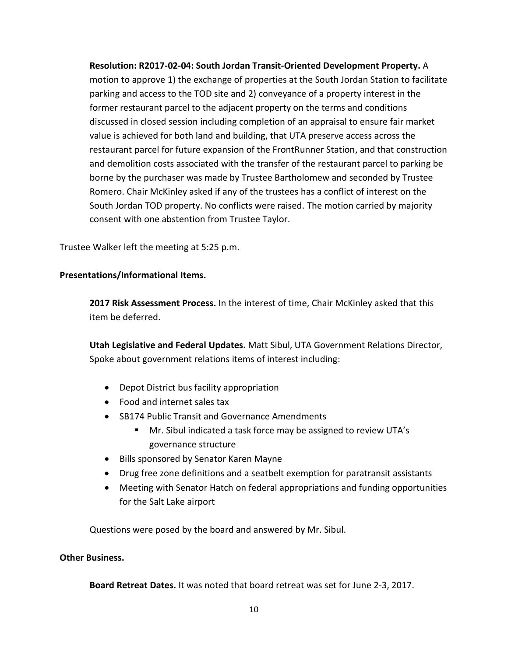**Resolution: R2017-02-04: South Jordan Transit-Oriented Development Property.** A motion to approve 1) the exchange of properties at the South Jordan Station to facilitate parking and access to the TOD site and 2) conveyance of a property interest in the former restaurant parcel to the adjacent property on the terms and conditions discussed in closed session including completion of an appraisal to ensure fair market value is achieved for both land and building, that UTA preserve access across the restaurant parcel for future expansion of the FrontRunner Station, and that construction and demolition costs associated with the transfer of the restaurant parcel to parking be borne by the purchaser was made by Trustee Bartholomew and seconded by Trustee Romero. Chair McKinley asked if any of the trustees has a conflict of interest on the South Jordan TOD property. No conflicts were raised. The motion carried by majority consent with one abstention from Trustee Taylor.

Trustee Walker left the meeting at 5:25 p.m.

# **Presentations/Informational Items.**

**2017 Risk Assessment Process.** In the interest of time, Chair McKinley asked that this item be deferred.

**Utah Legislative and Federal Updates.** Matt Sibul, UTA Government Relations Director, Spoke about government relations items of interest including:

- Depot District bus facility appropriation
- Food and internet sales tax
- SB174 Public Transit and Governance Amendments
	- Mr. Sibul indicated a task force may be assigned to review UTA's governance structure
- Bills sponsored by Senator Karen Mayne
- Drug free zone definitions and a seatbelt exemption for paratransit assistants
- Meeting with Senator Hatch on federal appropriations and funding opportunities for the Salt Lake airport

Questions were posed by the board and answered by Mr. Sibul.

### **Other Business.**

**Board Retreat Dates.** It was noted that board retreat was set for June 2-3, 2017.